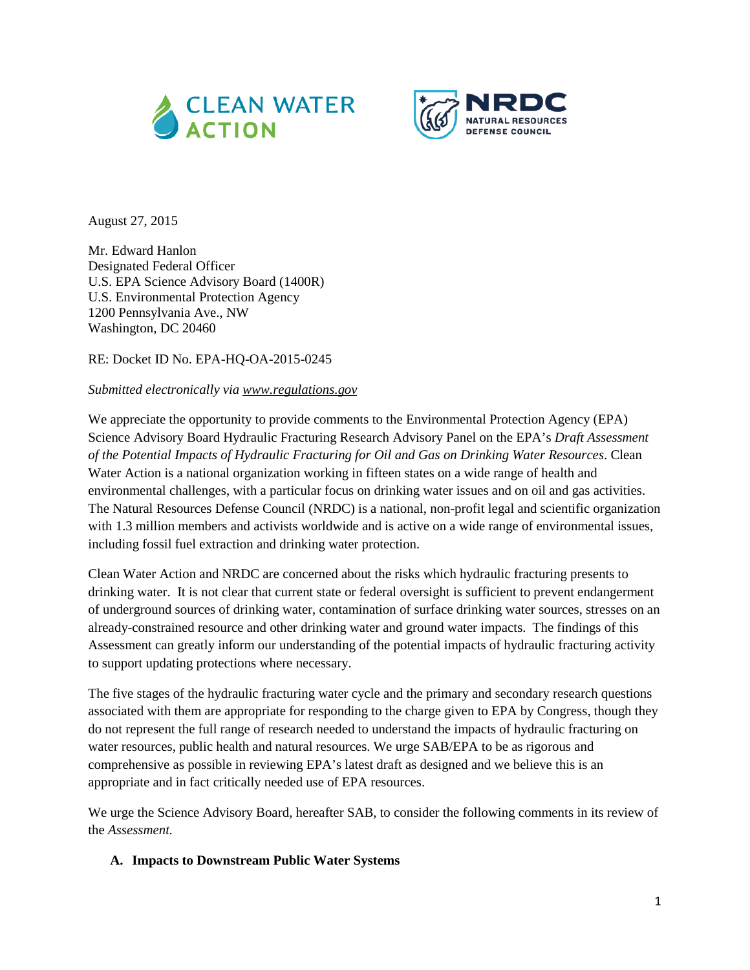



August 27, 2015

Mr. Edward Hanlon Designated Federal Officer U.S. EPA Science Advisory Board (1400R) U.S. Environmental Protection Agency 1200 Pennsylvania Ave., NW Washington, DC 20460

RE: Docket ID No. EPA-HQ-OA-2015-0245

#### *Submitted electronically via [www.regulations.gov](http://www.regulations.gov/)*

We appreciate the opportunity to provide comments to the Environmental Protection Agency (EPA) Science Advisory Board Hydraulic Fracturing Research Advisory Panel on the EPA's *Draft Assessment of the Potential Impacts of Hydraulic Fracturing for Oil and Gas on Drinking Water Resources*. Clean Water Action is a national organization working in fifteen states on a wide range of health and environmental challenges, with a particular focus on drinking water issues and on oil and gas activities. The Natural Resources Defense Council (NRDC) is a national, non-profit legal and scientific organization with 1.3 million members and activists worldwide and is active on a wide range of environmental issues, including fossil fuel extraction and drinking water protection.

Clean Water Action and NRDC are concerned about the risks which hydraulic fracturing presents to drinking water. It is not clear that current state or federal oversight is sufficient to prevent endangerment of underground sources of drinking water, contamination of surface drinking water sources, stresses on an already-constrained resource and other drinking water and ground water impacts. The findings of this Assessment can greatly inform our understanding of the potential impacts of hydraulic fracturing activity to support updating protections where necessary.

The five stages of the hydraulic fracturing water cycle and the primary and secondary research questions associated with them are appropriate for responding to the charge given to EPA by Congress, though they do not represent the full range of research needed to understand the impacts of hydraulic fracturing on water resources, public health and natural resources. We urge SAB/EPA to be as rigorous and comprehensive as possible in reviewing EPA's latest draft as designed and we believe this is an appropriate and in fact critically needed use of EPA resources.

We urge the Science Advisory Board, hereafter SAB, to consider the following comments in its review of the *Assessment.*

#### **A. Impacts to Downstream Public Water Systems**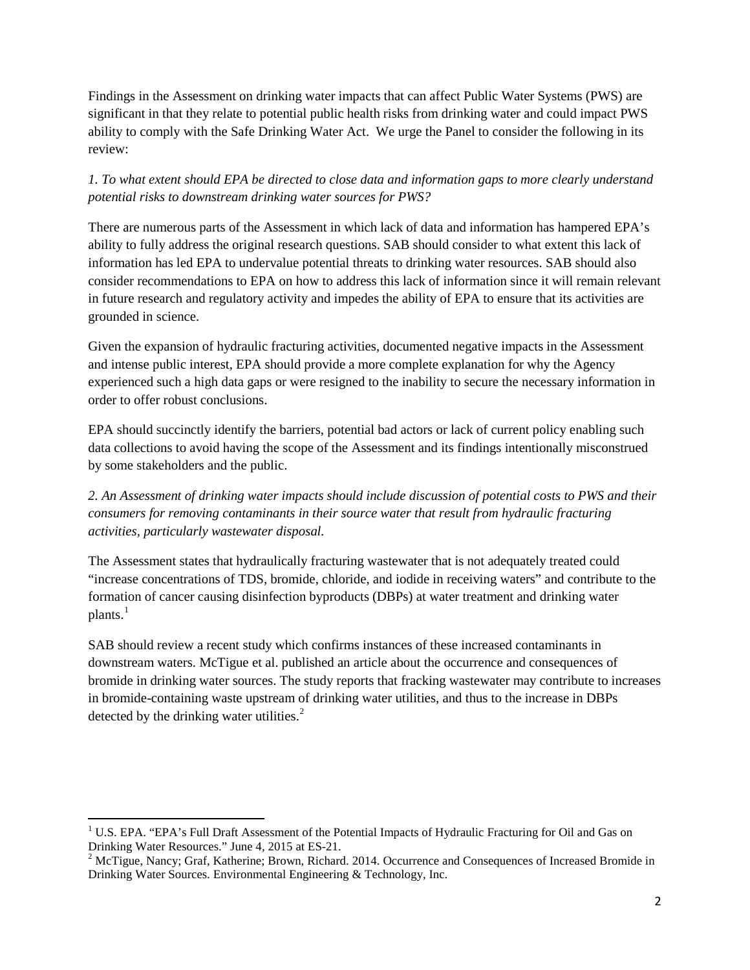Findings in the Assessment on drinking water impacts that can affect Public Water Systems (PWS) are significant in that they relate to potential public health risks from drinking water and could impact PWS ability to comply with the Safe Drinking Water Act. We urge the Panel to consider the following in its review:

*1. To what extent should EPA be directed to close data and information gaps to more clearly understand potential risks to downstream drinking water sources for PWS?*

There are numerous parts of the Assessment in which lack of data and information has hampered EPA's ability to fully address the original research questions. SAB should consider to what extent this lack of information has led EPA to undervalue potential threats to drinking water resources. SAB should also consider recommendations to EPA on how to address this lack of information since it will remain relevant in future research and regulatory activity and impedes the ability of EPA to ensure that its activities are grounded in science.

Given the expansion of hydraulic fracturing activities, documented negative impacts in the Assessment and intense public interest, EPA should provide a more complete explanation for why the Agency experienced such a high data gaps or were resigned to the inability to secure the necessary information in order to offer robust conclusions.

EPA should succinctly identify the barriers, potential bad actors or lack of current policy enabling such data collections to avoid having the scope of the Assessment and its findings intentionally misconstrued by some stakeholders and the public.

*2. An Assessment of drinking water impacts should include discussion of potential costs to PWS and their consumers for removing contaminants in their source water that result from hydraulic fracturing activities, particularly wastewater disposal.* 

The Assessment states that hydraulically fracturing wastewater that is not adequately treated could "increase concentrations of TDS, bromide, chloride, and iodide in receiving waters" and contribute to the formation of cancer causing disinfection byproducts (DBPs) at water treatment and drinking water  $plants.<sup>1</sup>$  $plants.<sup>1</sup>$  $plants.<sup>1</sup>$ 

SAB should review a recent study which confirms instances of these increased contaminants in downstream waters. McTigue et al. published an article about the occurrence and consequences of bromide in drinking water sources. The study reports that fracking wastewater may contribute to increases in bromide-containing waste upstream of drinking water utilities, and thus to the increase in DBPs detected by the drinking water utilities.<sup>[2](#page-1-1)</sup>

<span id="page-1-0"></span><sup>&</sup>lt;sup>1</sup> U.S. EPA. "EPA's Full Draft Assessment of the Potential Impacts of Hydraulic Fracturing for Oil and Gas on Drinking Water Resources." June 4, 2015 at ES-21.

<span id="page-1-1"></span> $\alpha$ <sup>2</sup> McTigue, Nancy; Graf, Katherine; Brown, Richard. 2014. Occurrence and Consequences of Increased Bromide in Drinking Water Sources. Environmental Engineering & Technology, Inc.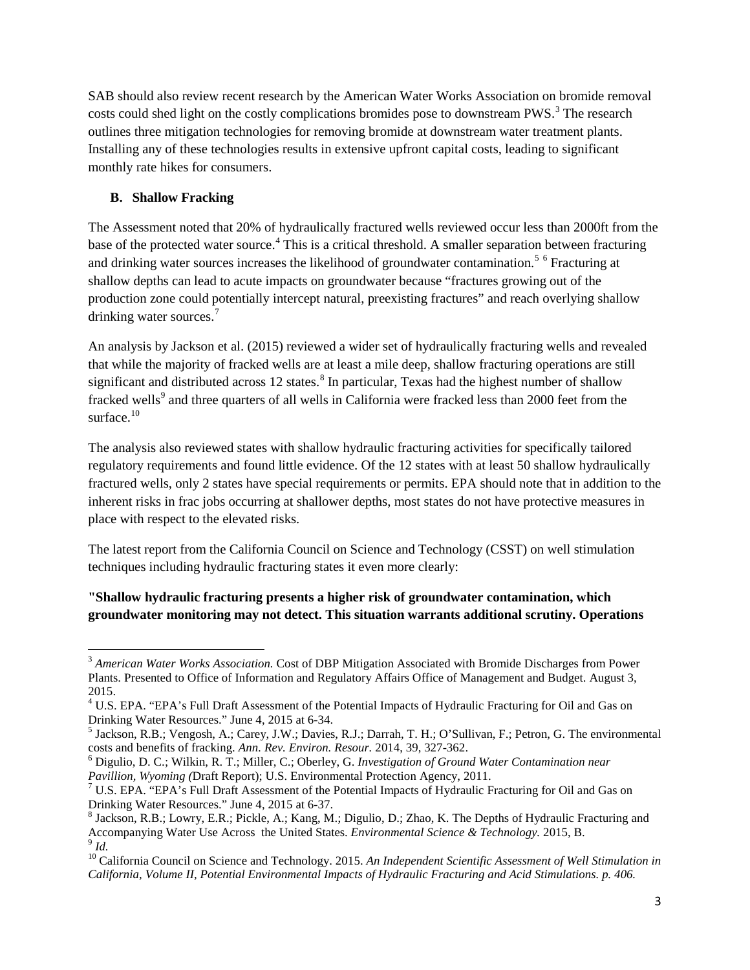SAB should also review recent research by the American Water Works Association on bromide removal costs could shed light on the costly complications bromides pose to downstream PWS.<sup>[3](#page-2-0)</sup> The research outlines three mitigation technologies for removing bromide at downstream water treatment plants. Installing any of these technologies results in extensive upfront capital costs, leading to significant monthly rate hikes for consumers.

#### **B. Shallow Fracking**

The Assessment noted that 20% of hydraulically fractured wells reviewed occur less than 2000ft from the base of the protected water source.<sup>[4](#page-2-1)</sup> This is a critical threshold. A smaller separation between fracturing and drinking water sources increases the likelihood of groundwater contamination.<sup>[5](#page-2-2) [6](#page-2-3)</sup> Fracturing at shallow depths can lead to acute impacts on groundwater because "fractures growing out of the production zone could potentially intercept natural, preexisting fractures" and reach overlying shallow drinking water sources.<sup>[7](#page-2-4)</sup>

An analysis by Jackson et al. (2015) reviewed a wider set of hydraulically fracturing wells and revealed that while the majority of fracked wells are at least a mile deep, shallow fracturing operations are still significant and distributed across 12 states.<sup>[8](#page-2-5)</sup> In particular, Texas had the highest number of shallow fracked wells<sup>[9](#page-2-6)</sup> and three quarters of all wells in California were fracked less than 2000 feet from the surface. $10$ 

The analysis also reviewed states with shallow hydraulic fracturing activities for specifically tailored regulatory requirements and found little evidence. Of the 12 states with at least 50 shallow hydraulically fractured wells, only 2 states have special requirements or permits. EPA should note that in addition to the inherent risks in frac jobs occurring at shallower depths, most states do not have protective measures in place with respect to the elevated risks.

The latest report from the California Council on Science and Technology (CSST) on well stimulation techniques including hydraulic fracturing states it even more clearly:

**"Shallow hydraulic fracturing presents a higher risk of groundwater contamination, which groundwater monitoring may not detect. This situation warrants additional scrutiny. Operations** 

<span id="page-2-0"></span><sup>&</sup>lt;sup>3</sup> American Water Works Association. Cost of DBP Mitigation Associated with Bromide Discharges from Power Plants. Presented to Office of Information and Regulatory Affairs Office of Management and Budget. August 3, 2015.

<span id="page-2-1"></span><sup>&</sup>lt;sup>4</sup> U.S. EPA. "EPA's Full Draft Assessment of the Potential Impacts of Hydraulic Fracturing for Oil and Gas on

<span id="page-2-2"></span>Drinking Water Resources." June 4, 2015 at 6-34.<br><sup>5</sup> Jackson, R.B.; Vengosh, A.; Carey, J.W.; Davies, R.J.; Darrah, T. H.; O'Sullivan, F.; Petron, G. The environmental costs and benefits of fracking. *Ann. Rev. Environ. Re* 

<span id="page-2-3"></span><sup>&</sup>lt;sup>6</sup> Digulio, D. C.; Wilkin, R. T.; Miller, C.; Oberley, G. *Investigation of Ground Water Contamination near Pavillion, Wyoming (Draft Report)*; U.S. Environmental Protection Agency, 2011.

<span id="page-2-4"></span><sup>&</sup>lt;sup>7</sup> U.S. EPA. "EPA's Full Draft Assessment of the Potential Impacts of Hydraulic Fracturing for Oil and Gas on Drinking Water Resources." June 4, 2015 at 6-37.<br><sup>8</sup> Jackson, R.B.; Lowry, E.R.; Pickle, A.; Kang, M.; Digulio, D.; Zhao, K. The Depths of Hydraulic Fracturing and

<span id="page-2-5"></span>Accompanying Water Use Across the United States. *Environmental Science & Technology*. 2015, B. <sup>9</sup> *Id.* 

<span id="page-2-7"></span><span id="page-2-6"></span><sup>&</sup>lt;sup>10</sup> California Council on Science and Technology. 2015. An Independent Scientific Assessment of Well Stimulation in *California, Volume II, Potential Environmental Impacts of Hydraulic Fracturing and Acid Stimulations. p. 406.*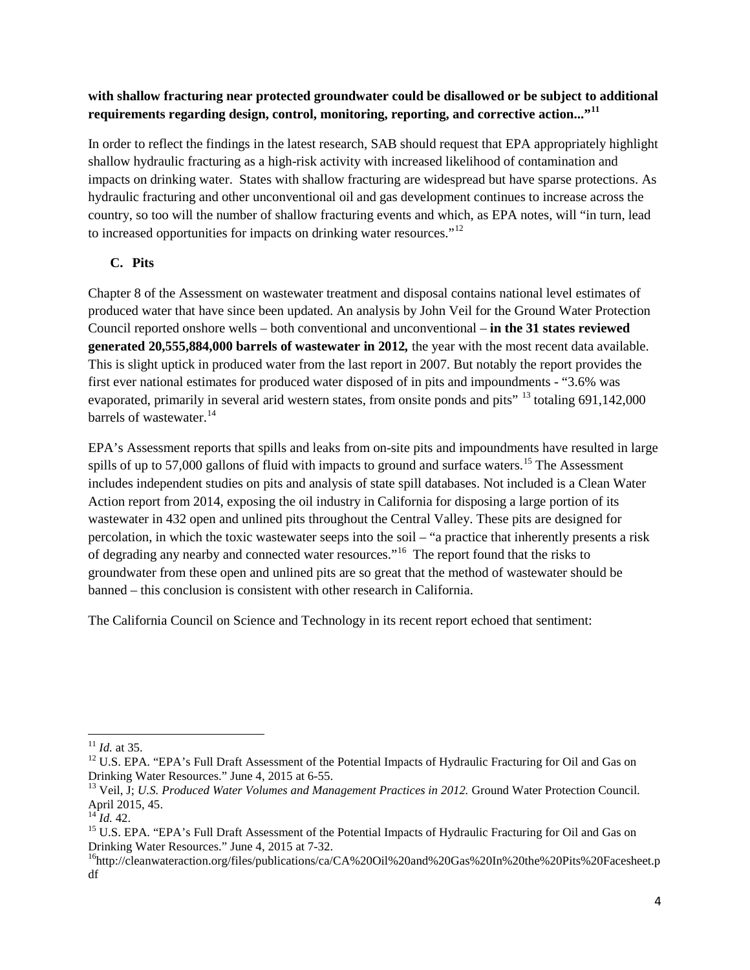### **with shallow fracturing near protected groundwater could be disallowed or be subject to additional requirements regarding design, control, monitoring, reporting, and corrective action..."[11](#page-3-0)**

In order to reflect the findings in the latest research, SAB should request that EPA appropriately highlight shallow hydraulic fracturing as a high-risk activity with increased likelihood of contamination and impacts on drinking water. States with shallow fracturing are widespread but have sparse protections. As hydraulic fracturing and other unconventional oil and gas development continues to increase across the country, so too will the number of shallow fracturing events and which, as EPA notes, will "in turn, lead to increased opportunities for impacts on drinking water resources."<sup>[12](#page-3-1)</sup>

# **C. Pits**

Chapter 8 of the Assessment on wastewater treatment and disposal contains national level estimates of produced water that have since been updated. An analysis by John Veil for the Ground Water Protection Council reported onshore wells – both conventional and unconventional – **in the 31 states reviewed generated 20,555,884,000 barrels of wastewater in 2012***,* the year with the most recent data available. This is slight uptick in produced water from the last report in 2007. But notably the report provides the first ever national estimates for produced water disposed of in pits and impoundments - "3.6% was evaporated, primarily in several arid western states, from onsite ponds and pits<sup>" [13](#page-3-2)</sup> totaling 691,142,000 barrels of wastewater.<sup>[14](#page-3-3)</sup>

EPA's Assessment reports that spills and leaks from on-site pits and impoundments have resulted in large spills of up to 57,000 gallons of fluid with impacts to ground and surface waters.<sup>[15](#page-3-4)</sup> The Assessment includes independent studies on pits and analysis of state spill databases. Not included is a Clean Water Action report from 2014, exposing the oil industry in California for disposing a large portion of its wastewater in 432 open and unlined pits throughout the Central Valley. These pits are designed for percolation, in which the toxic wastewater seeps into the soil – "a practice that inherently presents a risk of degrading any nearby and connected water resources."[16](#page-3-5) The report found that the risks to groundwater from these open and unlined pits are so great that the method of wastewater should be banned – this conclusion is consistent with other research in California.

The California Council on Science and Technology in its recent report echoed that sentiment:

<span id="page-3-1"></span><span id="page-3-0"></span><sup>&</sup>lt;sup>11</sup> *Id.* at 35.<br><sup>12</sup> U.S. EPA. "EPA's Full Draft Assessment of the Potential Impacts of Hydraulic Fracturing for Oil and Gas on<br>Drinking Water Resources." June 4, 2015 at 6-55.

<span id="page-3-2"></span><sup>&</sup>lt;sup>13</sup> Veil, J; *U.S. Produced Water Volumes and Management Practices in 2012.* Ground Water Protection Council. April 2015, 45.<br><sup>14</sup> *Id.* 42.

<span id="page-3-4"></span><span id="page-3-3"></span><sup>&</sup>lt;sup>15</sup> U.S. EPA. "EPA's Full Draft Assessment of the Potential Impacts of Hydraulic Fracturing for Oil and Gas on Drinking Water Resources." June 4, 2015 at 7-32.<br><sup>16</sup>http://cleanwateraction.org/files/publications/ca/CA%20Oil%20and%20Gas%20In%20the%20Pits%20Facesheet.p

<span id="page-3-5"></span>df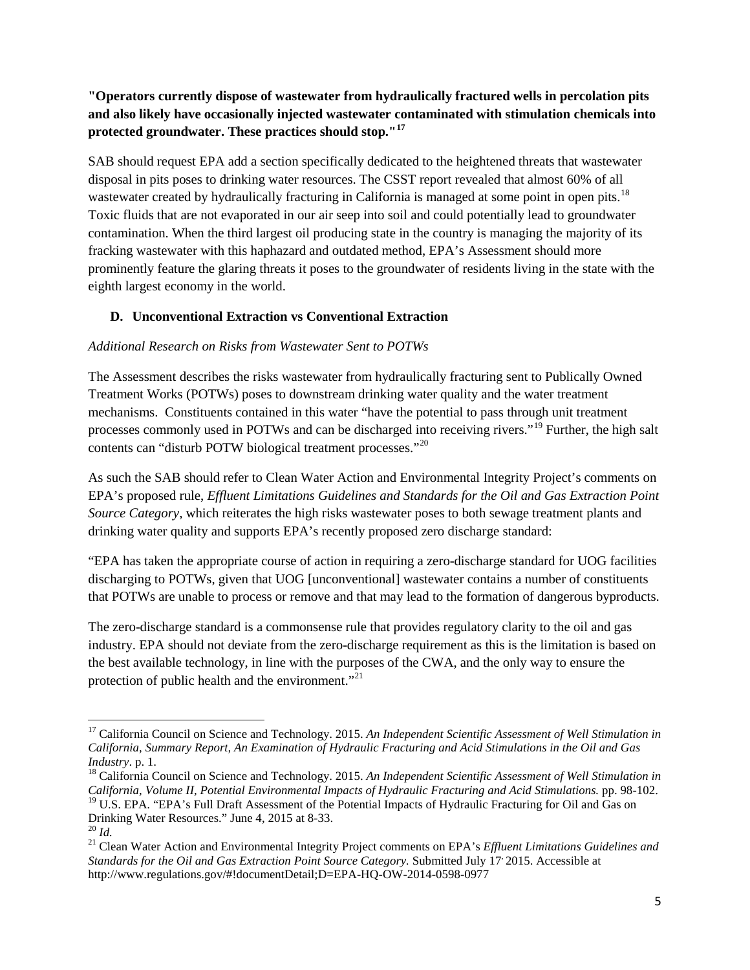## **"Operators currently dispose of wastewater from hydraulically fractured wells in percolation pits and also likely have occasionally injected wastewater contaminated with stimulation chemicals into protected groundwater. These practices should stop."[17](#page-4-0)**

SAB should request EPA add a section specifically dedicated to the heightened threats that wastewater disposal in pits poses to drinking water resources. The CSST report revealed that almost 60% of all wastewater created by hydraulically fracturing in California is managed at some point in open pits.<sup>[18](#page-4-1)</sup> Toxic fluids that are not evaporated in our air seep into soil and could potentially lead to groundwater contamination. When the third largest oil producing state in the country is managing the majority of its fracking wastewater with this haphazard and outdated method, EPA's Assessment should more prominently feature the glaring threats it poses to the groundwater of residents living in the state with the eighth largest economy in the world.

## **D. Unconventional Extraction vs Conventional Extraction**

#### *Additional Research on Risks from Wastewater Sent to POTWs*

The Assessment describes the risks wastewater from hydraulically fracturing sent to Publically Owned Treatment Works (POTWs) poses to downstream drinking water quality and the water treatment mechanisms. Constituents contained in this water "have the potential to pass through unit treatment processes commonly used in POTWs and can be discharged into receiving rivers."[19](#page-4-2) Further, the high salt contents can "disturb POTW biological treatment processes."[20](#page-4-3)

As such the SAB should refer to Clean Water Action and Environmental Integrity Project's comments on EPA's proposed rule, *Effluent Limitations Guidelines and Standards for the Oil and Gas Extraction Point Source Category*, which reiterates the high risks wastewater poses to both sewage treatment plants and drinking water quality and supports EPA's recently proposed zero discharge standard:

"EPA has taken the appropriate course of action in requiring a zero-discharge standard for UOG facilities discharging to POTWs, given that UOG [unconventional] wastewater contains a number of constituents that POTWs are unable to process or remove and that may lead to the formation of dangerous byproducts.

The zero-discharge standard is a commonsense rule that provides regulatory clarity to the oil and gas industry. EPA should not deviate from the zero-discharge requirement as this is the limitation is based on the best available technology, in line with the purposes of the CWA, and the only way to ensure the protection of public health and the environment."<sup>[21](#page-4-4)</sup>

<span id="page-4-0"></span><sup>17</sup> California Council on Science and Technology. 2015. *An Independent Scientific Assessment of Well Stimulation in California, Summary Report, An Examination of Hydraulic Fracturing and Acid Stimulations in the Oil and Gas Industry*. p. 1.<br><sup>18</sup> California Council on Science and Technology. 2015. An *Independent Scientific Assessment of Well Stimulation in* 

<span id="page-4-1"></span>*California, Volume II, Potential Environmental Impacts of Hydraulic Fracturing and Acid Stimulations.* pp. 98-102. <sup>19</sup> U.S. EPA. "EPA's Full Draft Assessment of the Potential Impacts of Hydraulic Fracturing for Oil and Gas on Drinking Water Resources." June 4. 2015 at 8-33.

<span id="page-4-2"></span>

<span id="page-4-4"></span><span id="page-4-3"></span><sup>&</sup>lt;sup>20</sup> *Id.* <br><sup>21</sup> Clean Water Action and Environmental Integrity Project comments on EPA's *Effluent Limitations Guidelines and Standards for the Oil and Gas Extraction Point Source Category.* Submitted July 17, 2015. Accessible at http://www.regulations.gov/#!documentDetail;D=EPA-HQ-OW-2014-0598-0977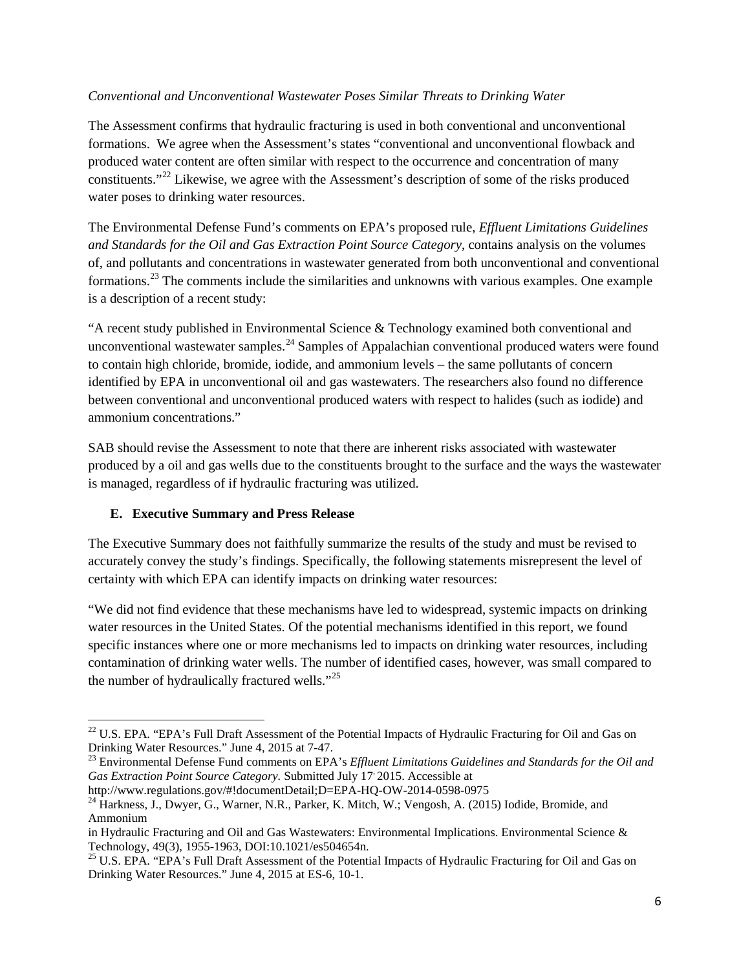#### *Conventional and Unconventional Wastewater Poses Similar Threats to Drinking Water*

The Assessment confirms that hydraulic fracturing is used in both conventional and unconventional formations. We agree when the Assessment's states "conventional and unconventional flowback and produced water content are often similar with respect to the occurrence and concentration of many constituents."[22](#page-5-0) Likewise, we agree with the Assessment's description of some of the risks produced water poses to drinking water resources.

The Environmental Defense Fund's comments on EPA's proposed rule, *Effluent Limitations Guidelines and Standards for the Oil and Gas Extraction Point Source Category*, contains analysis on the volumes of, and pollutants and concentrations in wastewater generated from both unconventional and conventional formations.[23](#page-5-1) The comments include the similarities and unknowns with various examples. One example is a description of a recent study:

"A recent study published in Environmental Science & Technology examined both conventional and unconventional wastewater samples.<sup>[24](#page-5-2)</sup> Samples of Appalachian conventional produced waters were found to contain high chloride, bromide, iodide, and ammonium levels – the same pollutants of concern identified by EPA in unconventional oil and gas wastewaters. The researchers also found no difference between conventional and unconventional produced waters with respect to halides (such as iodide) and ammonium concentrations."

SAB should revise the Assessment to note that there are inherent risks associated with wastewater produced by a oil and gas wells due to the constituents brought to the surface and the ways the wastewater is managed, regardless of if hydraulic fracturing was utilized.

#### **E. Executive Summary and Press Release**

The Executive Summary does not faithfully summarize the results of the study and must be revised to accurately convey the study's findings. Specifically, the following statements misrepresent the level of certainty with which EPA can identify impacts on drinking water resources:

"We did not find evidence that these mechanisms have led to widespread, systemic impacts on drinking water resources in the United States. Of the potential mechanisms identified in this report, we found specific instances where one or more mechanisms led to impacts on drinking water resources, including contamination of drinking water wells. The number of identified cases, however, was small compared to the number of hydraulically fractured wells."<sup>[25](#page-5-3)</sup>

<span id="page-5-0"></span><sup>&</sup>lt;sup>22</sup> U.S. EPA. "EPA's Full Draft Assessment of the Potential Impacts of Hydraulic Fracturing for Oil and Gas on Drinking Water Resources." June 4, 2015 at 7-47.

<span id="page-5-1"></span><sup>&</sup>lt;sup>23</sup> Environmental Defense Fund comments on EPA's *Effluent Limitations Guidelines and Standards for the Oil and Gas Extraction Point Source Category.* Submitted July 17, 2015. Accessible at

<span id="page-5-2"></span>

http://www.regulations.gov/#!documentDetail;D=EPA-HQ-OW-2014-0598-0975<br><sup>24</sup> Harkness, J., Dwyer, G., Warner, N.R., Parker, K. Mitch, W.; Vengosh, A. (2015) Iodide, Bromide, and Ammonium

in Hydraulic Fracturing and Oil and Gas Wastewaters: Environmental Implications. Environmental Science & Technology, 49(3), 1955-1963, DOI:10.1021/es504654n.<br><sup>25</sup> U.S. EPA. "EPA's Full Draft Assessment of the Potential Impacts of Hydraulic Fracturing for Oil and Gas on

<span id="page-5-3"></span>Drinking Water Resources." June 4, 2015 at ES-6, 10-1.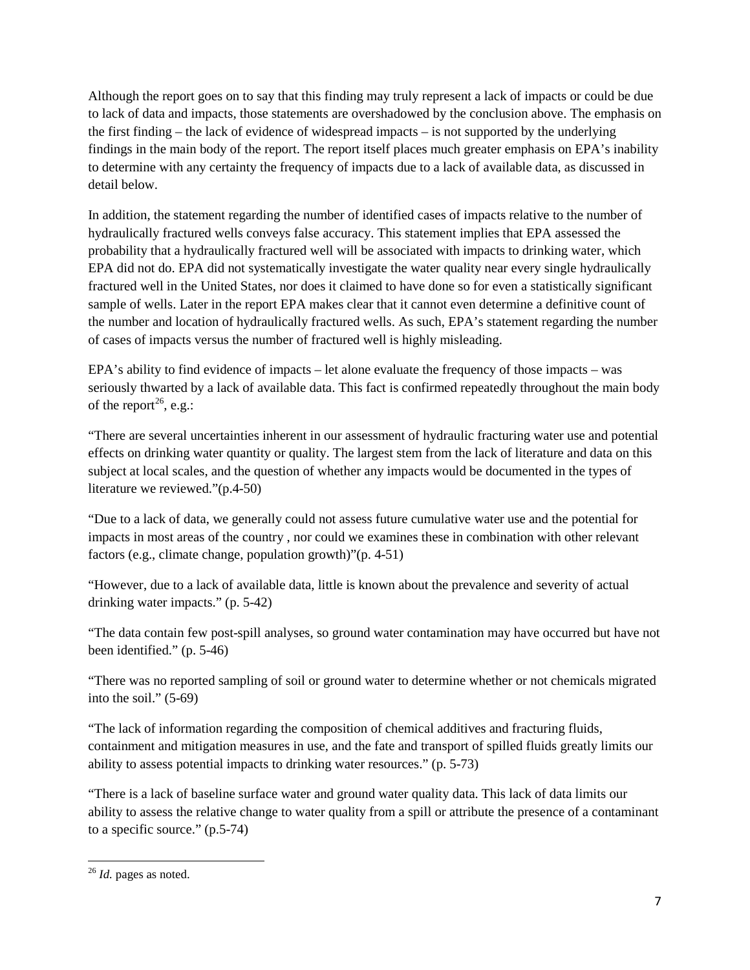Although the report goes on to say that this finding may truly represent a lack of impacts or could be due to lack of data and impacts, those statements are overshadowed by the conclusion above. The emphasis on the first finding – the lack of evidence of widespread impacts – is not supported by the underlying findings in the main body of the report. The report itself places much greater emphasis on EPA's inability to determine with any certainty the frequency of impacts due to a lack of available data, as discussed in detail below.

In addition, the statement regarding the number of identified cases of impacts relative to the number of hydraulically fractured wells conveys false accuracy. This statement implies that EPA assessed the probability that a hydraulically fractured well will be associated with impacts to drinking water, which EPA did not do. EPA did not systematically investigate the water quality near every single hydraulically fractured well in the United States, nor does it claimed to have done so for even a statistically significant sample of wells. Later in the report EPA makes clear that it cannot even determine a definitive count of the number and location of hydraulically fractured wells. As such, EPA's statement regarding the number of cases of impacts versus the number of fractured well is highly misleading.

EPA's ability to find evidence of impacts – let alone evaluate the frequency of those impacts – was seriously thwarted by a lack of available data. This fact is confirmed repeatedly throughout the main body of the report<sup>26</sup>, e.g.:

"There are several uncertainties inherent in our assessment of hydraulic fracturing water use and potential effects on drinking water quantity or quality. The largest stem from the lack of literature and data on this subject at local scales, and the question of whether any impacts would be documented in the types of literature we reviewed."(p.4-50)

"Due to a lack of data, we generally could not assess future cumulative water use and the potential for impacts in most areas of the country , nor could we examines these in combination with other relevant factors (e.g., climate change, population growth)"(p. 4-51)

"However, due to a lack of available data, little is known about the prevalence and severity of actual drinking water impacts." (p. 5-42)

"The data contain few post-spill analyses, so ground water contamination may have occurred but have not been identified." (p. 5-46)

"There was no reported sampling of soil or ground water to determine whether or not chemicals migrated into the soil." (5-69)

"The lack of information regarding the composition of chemical additives and fracturing fluids, containment and mitigation measures in use, and the fate and transport of spilled fluids greatly limits our ability to assess potential impacts to drinking water resources." (p. 5-73)

"There is a lack of baseline surface water and ground water quality data. This lack of data limits our ability to assess the relative change to water quality from a spill or attribute the presence of a contaminant to a specific source." (p.5-74)

<span id="page-6-0"></span><sup>26</sup> *Id.* pages as noted.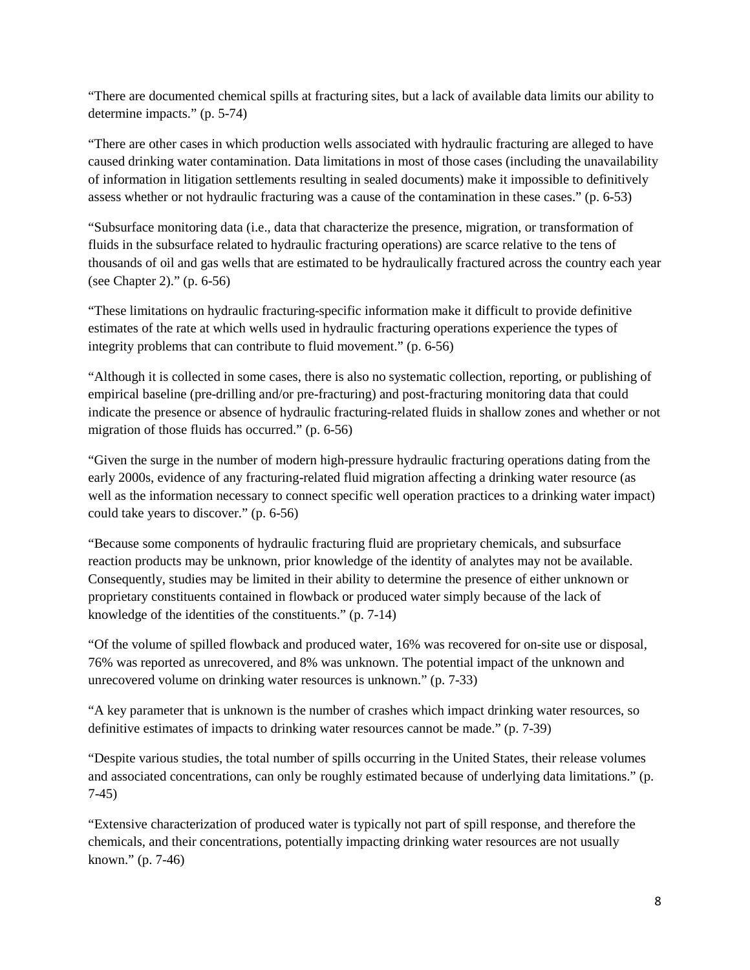"There are documented chemical spills at fracturing sites, but a lack of available data limits our ability to determine impacts." (p. 5-74)

"There are other cases in which production wells associated with hydraulic fracturing are alleged to have caused drinking water contamination. Data limitations in most of those cases (including the unavailability of information in litigation settlements resulting in sealed documents) make it impossible to definitively assess whether or not hydraulic fracturing was a cause of the contamination in these cases." (p. 6-53)

"Subsurface monitoring data (i.e., data that characterize the presence, migration, or transformation of fluids in the subsurface related to hydraulic fracturing operations) are scarce relative to the tens of thousands of oil and gas wells that are estimated to be hydraulically fractured across the country each year (see Chapter 2)." (p. 6-56)

"These limitations on hydraulic fracturing-specific information make it difficult to provide definitive estimates of the rate at which wells used in hydraulic fracturing operations experience the types of integrity problems that can contribute to fluid movement." (p. 6-56)

"Although it is collected in some cases, there is also no systematic collection, reporting, or publishing of empirical baseline (pre-drilling and/or pre-fracturing) and post-fracturing monitoring data that could indicate the presence or absence of hydraulic fracturing-related fluids in shallow zones and whether or not migration of those fluids has occurred." (p. 6-56)

"Given the surge in the number of modern high-pressure hydraulic fracturing operations dating from the early 2000s, evidence of any fracturing-related fluid migration affecting a drinking water resource (as well as the information necessary to connect specific well operation practices to a drinking water impact) could take years to discover." (p. 6-56)

"Because some components of hydraulic fracturing fluid are proprietary chemicals, and subsurface reaction products may be unknown, prior knowledge of the identity of analytes may not be available. Consequently, studies may be limited in their ability to determine the presence of either unknown or proprietary constituents contained in flowback or produced water simply because of the lack of knowledge of the identities of the constituents." (p. 7-14)

"Of the volume of spilled flowback and produced water, 16% was recovered for on-site use or disposal, 76% was reported as unrecovered, and 8% was unknown. The potential impact of the unknown and unrecovered volume on drinking water resources is unknown." (p. 7-33)

"A key parameter that is unknown is the number of crashes which impact drinking water resources, so definitive estimates of impacts to drinking water resources cannot be made." (p. 7-39)

"Despite various studies, the total number of spills occurring in the United States, their release volumes and associated concentrations, can only be roughly estimated because of underlying data limitations." (p. 7-45)

"Extensive characterization of produced water is typically not part of spill response, and therefore the chemicals, and their concentrations, potentially impacting drinking water resources are not usually known." (p. 7-46)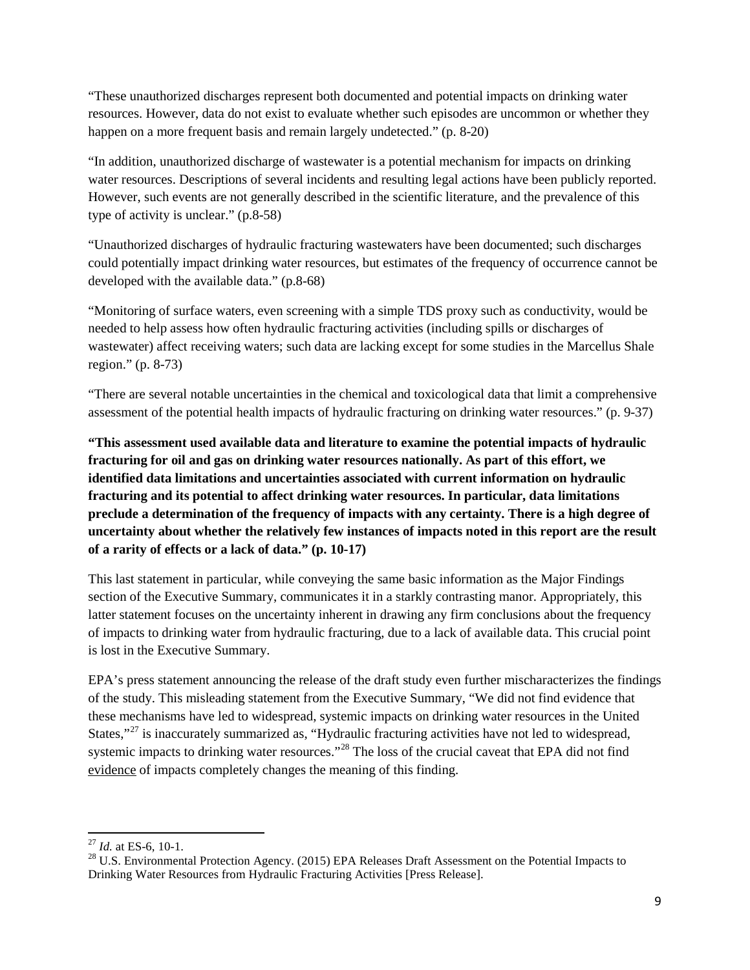"These unauthorized discharges represent both documented and potential impacts on drinking water resources. However, data do not exist to evaluate whether such episodes are uncommon or whether they happen on a more frequent basis and remain largely undetected." (p. 8-20)

"In addition, unauthorized discharge of wastewater is a potential mechanism for impacts on drinking water resources. Descriptions of several incidents and resulting legal actions have been publicly reported. However, such events are not generally described in the scientific literature, and the prevalence of this type of activity is unclear." (p.8-58)

"Unauthorized discharges of hydraulic fracturing wastewaters have been documented; such discharges could potentially impact drinking water resources, but estimates of the frequency of occurrence cannot be developed with the available data." (p.8-68)

"Monitoring of surface waters, even screening with a simple TDS proxy such as conductivity, would be needed to help assess how often hydraulic fracturing activities (including spills or discharges of wastewater) affect receiving waters; such data are lacking except for some studies in the Marcellus Shale region." (p. 8-73)

"There are several notable uncertainties in the chemical and toxicological data that limit a comprehensive assessment of the potential health impacts of hydraulic fracturing on drinking water resources." (p. 9-37)

**"This assessment used available data and literature to examine the potential impacts of hydraulic fracturing for oil and gas on drinking water resources nationally. As part of this effort, we identified data limitations and uncertainties associated with current information on hydraulic fracturing and its potential to affect drinking water resources. In particular, data limitations preclude a determination of the frequency of impacts with any certainty. There is a high degree of uncertainty about whether the relatively few instances of impacts noted in this report are the result of a rarity of effects or a lack of data." (p. 10-17)**

This last statement in particular, while conveying the same basic information as the Major Findings section of the Executive Summary, communicates it in a starkly contrasting manor. Appropriately, this latter statement focuses on the uncertainty inherent in drawing any firm conclusions about the frequency of impacts to drinking water from hydraulic fracturing, due to a lack of available data. This crucial point is lost in the Executive Summary.

EPA's press statement announcing the release of the draft study even further mischaracterizes the findings of the study. This misleading statement from the Executive Summary, "We did not find evidence that these mechanisms have led to widespread, systemic impacts on drinking water resources in the United States,"<sup>[27](#page-8-0)</sup> is inaccurately summarized as, "Hydraulic fracturing activities have not led to widespread, systemic impacts to drinking water resources."<sup>[28](#page-8-1)</sup> The loss of the crucial caveat that EPA did not find evidence of impacts completely changes the meaning of this finding.

<span id="page-8-1"></span><span id="page-8-0"></span><sup>&</sup>lt;sup>27</sup> *Id.* at ES-6, 10-1.<br><sup>28</sup> U.S. Environmental Protection Agency. (2015) EPA Releases Draft Assessment on the Potential Impacts to Drinking Water Resources from Hydraulic Fracturing Activities [Press Release].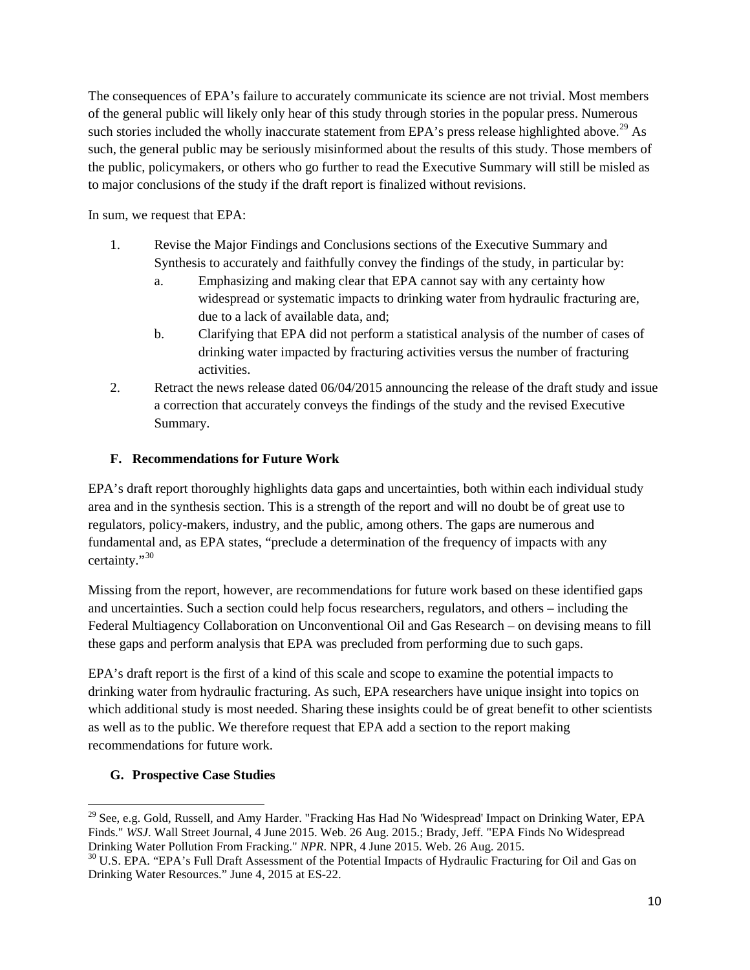The consequences of EPA's failure to accurately communicate its science are not trivial. Most members of the general public will likely only hear of this study through stories in the popular press. Numerous such stories included the wholly inaccurate statement from EPA's press release highlighted above.<sup>[29](#page-9-0)</sup> As such, the general public may be seriously misinformed about the results of this study. Those members of the public, policymakers, or others who go further to read the Executive Summary will still be misled as to major conclusions of the study if the draft report is finalized without revisions.

In sum, we request that EPA:

- 1. Revise the Major Findings and Conclusions sections of the Executive Summary and Synthesis to accurately and faithfully convey the findings of the study, in particular by:
	- a. Emphasizing and making clear that EPA cannot say with any certainty how widespread or systematic impacts to drinking water from hydraulic fracturing are, due to a lack of available data, and;
	- b. Clarifying that EPA did not perform a statistical analysis of the number of cases of drinking water impacted by fracturing activities versus the number of fracturing activities.
- 2. Retract the news release dated 06/04/2015 announcing the release of the draft study and issue a correction that accurately conveys the findings of the study and the revised Executive Summary.

# **F. Recommendations for Future Work**

EPA's draft report thoroughly highlights data gaps and uncertainties, both within each individual study area and in the synthesis section. This is a strength of the report and will no doubt be of great use to regulators, policy-makers, industry, and the public, among others. The gaps are numerous and fundamental and, as EPA states, "preclude a determination of the frequency of impacts with any certainty."[30](#page-9-1)

Missing from the report, however, are recommendations for future work based on these identified gaps and uncertainties. Such a section could help focus researchers, regulators, and others – including the Federal Multiagency Collaboration on Unconventional Oil and Gas Research – on devising means to fill these gaps and perform analysis that EPA was precluded from performing due to such gaps.

EPA's draft report is the first of a kind of this scale and scope to examine the potential impacts to drinking water from hydraulic fracturing. As such, EPA researchers have unique insight into topics on which additional study is most needed. Sharing these insights could be of great benefit to other scientists as well as to the public. We therefore request that EPA add a section to the report making recommendations for future work.

# **G. Prospective Case Studies**

<span id="page-9-0"></span><sup>&</sup>lt;sup>29</sup> See. e.g. Gold, Russell, and Amy Harder. "Fracking Has Had No 'Widespread' Impact on Drinking Water, EPA Finds." *WSJ*. Wall Street Journal, 4 June 2015. Web. 26 Aug. 2015.; Brady, Jeff. "EPA Finds No Widespread Drinking Water Pollution From Fracking." *NPR*. NPR, 4 June 2015. Web. 26 Aug. 2015.

<span id="page-9-1"></span><sup>&</sup>lt;sup>30</sup> U.S. EPA. "EPA's Full Draft Assessment of the Potential Impacts of Hydraulic Fracturing for Oil and Gas on Drinking Water Resources." June 4, 2015 at ES-22.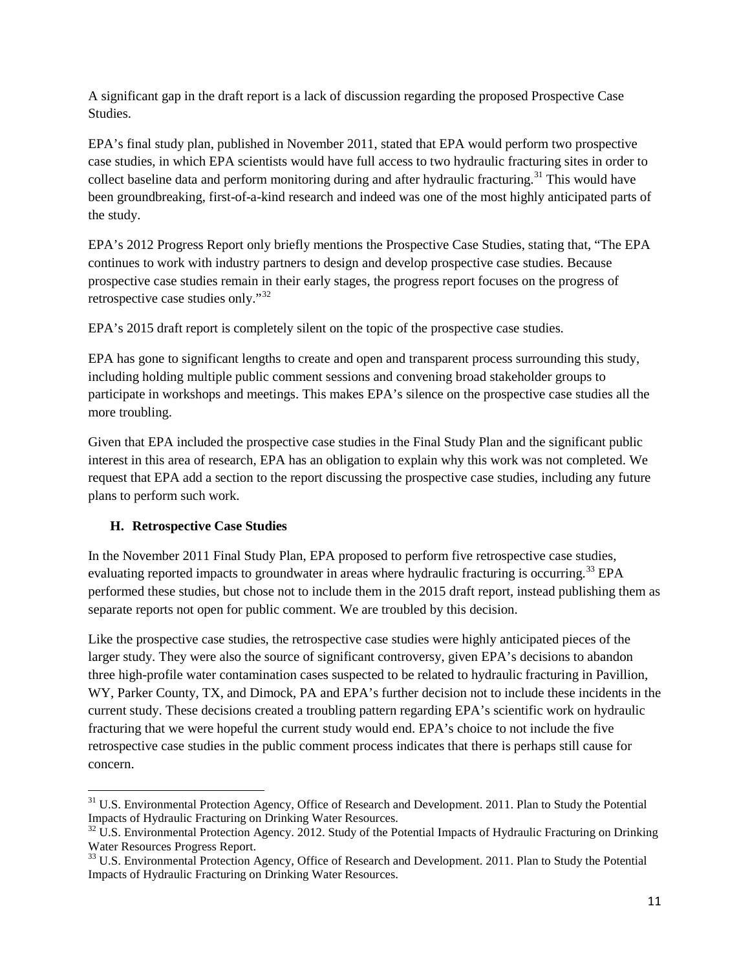A significant gap in the draft report is a lack of discussion regarding the proposed Prospective Case Studies.

EPA's final study plan, published in November 2011, stated that EPA would perform two prospective case studies, in which EPA scientists would have full access to two hydraulic fracturing sites in order to collect baseline data and perform monitoring during and after hydraulic fracturing.<sup>[31](#page-10-0)</sup> This would have been groundbreaking, first-of-a-kind research and indeed was one of the most highly anticipated parts of the study.

EPA's 2012 Progress Report only briefly mentions the Prospective Case Studies, stating that, "The EPA continues to work with industry partners to design and develop prospective case studies. Because prospective case studies remain in their early stages, the progress report focuses on the progress of retrospective case studies only."[32](#page-10-1)

EPA's 2015 draft report is completely silent on the topic of the prospective case studies.

EPA has gone to significant lengths to create and open and transparent process surrounding this study, including holding multiple public comment sessions and convening broad stakeholder groups to participate in workshops and meetings. This makes EPA's silence on the prospective case studies all the more troubling.

Given that EPA included the prospective case studies in the Final Study Plan and the significant public interest in this area of research, EPA has an obligation to explain why this work was not completed. We request that EPA add a section to the report discussing the prospective case studies, including any future plans to perform such work.

# **H. Retrospective Case Studies**

In the November 2011 Final Study Plan, EPA proposed to perform five retrospective case studies, evaluating reported impacts to groundwater in areas where hydraulic fracturing is occurring.<sup>[33](#page-10-2)</sup> EPA performed these studies, but chose not to include them in the 2015 draft report, instead publishing them as separate reports not open for public comment. We are troubled by this decision.

Like the prospective case studies, the retrospective case studies were highly anticipated pieces of the larger study. They were also the source of significant controversy, given EPA's decisions to abandon three high-profile water contamination cases suspected to be related to hydraulic fracturing in Pavillion, WY, Parker County, TX, and Dimock, PA and EPA's further decision not to include these incidents in the current study. These decisions created a troubling pattern regarding EPA's scientific work on hydraulic fracturing that we were hopeful the current study would end. EPA's choice to not include the five retrospective case studies in the public comment process indicates that there is perhaps still cause for concern.

<span id="page-10-0"></span><sup>&</sup>lt;sup>31</sup> U.S. Environmental Protection Agency, Office of Research and Development. 2011. Plan to Study the Potential Impacts of Hydraulic Fracturing on Drinking Water Resources.

<span id="page-10-1"></span> $32$  U.S. Environmental Protection Agency. 2012. Study of the Potential Impacts of Hydraulic Fracturing on Drinking Water Resources Progress Report.

<span id="page-10-2"></span><sup>&</sup>lt;sup>33</sup> U.S. Environmental Protection Agency, Office of Research and Development. 2011. Plan to Study the Potential Impacts of Hydraulic Fracturing on Drinking Water Resources.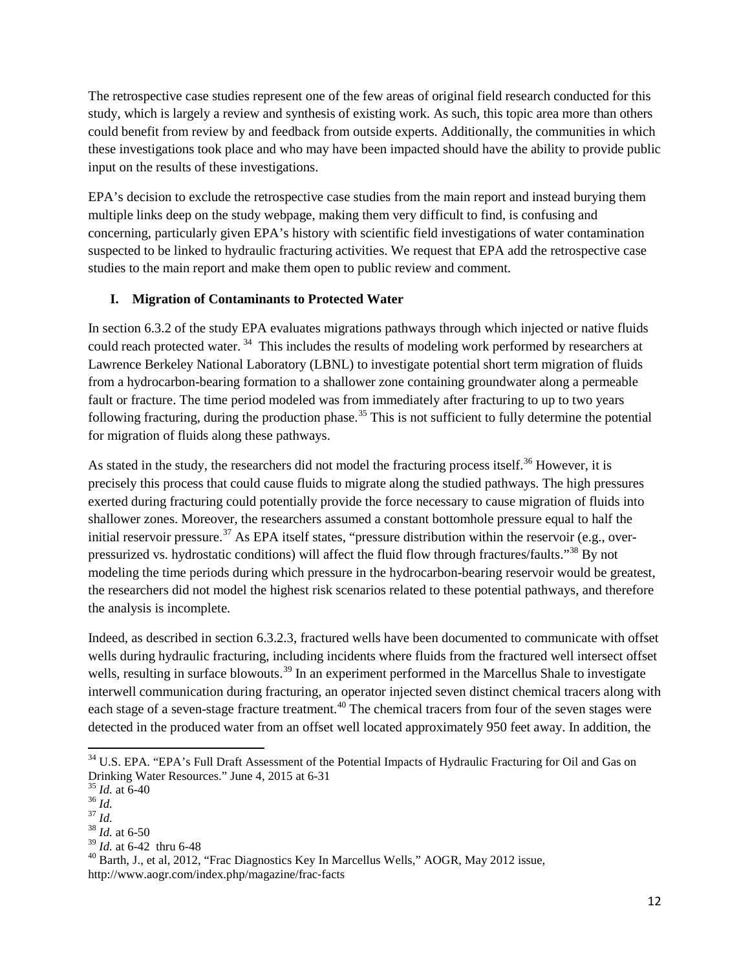The retrospective case studies represent one of the few areas of original field research conducted for this study, which is largely a review and synthesis of existing work. As such, this topic area more than others could benefit from review by and feedback from outside experts. Additionally, the communities in which these investigations took place and who may have been impacted should have the ability to provide public input on the results of these investigations.

EPA's decision to exclude the retrospective case studies from the main report and instead burying them multiple links deep on the study webpage, making them very difficult to find, is confusing and concerning, particularly given EPA's history with scientific field investigations of water contamination suspected to be linked to hydraulic fracturing activities. We request that EPA add the retrospective case studies to the main report and make them open to public review and comment.

## **I. Migration of Contaminants to Protected Water**

In section 6.3.2 of the study EPA evaluates migrations pathways through which injected or native fluids could reach protected water.<sup>[34](#page-11-0)</sup> This includes the results of modeling work performed by researchers at Lawrence Berkeley National Laboratory (LBNL) to investigate potential short term migration of fluids from a hydrocarbon-bearing formation to a shallower zone containing groundwater along a permeable fault or fracture. The time period modeled was from immediately after fracturing to up to two years following fracturing, during the production phase.<sup>[35](#page-11-1)</sup> This is not sufficient to fully determine the potential for migration of fluids along these pathways.

As stated in the study, the researchers did not model the fracturing process itself.<sup>[36](#page-11-2)</sup> However, it is precisely this process that could cause fluids to migrate along the studied pathways. The high pressures exerted during fracturing could potentially provide the force necessary to cause migration of fluids into shallower zones. Moreover, the researchers assumed a constant bottomhole pressure equal to half the initial reservoir pressure.<sup>[37](#page-11-3)</sup> As EPA itself states, "pressure distribution within the reservoir (e.g., overpressurized vs. hydrostatic conditions) will affect the fluid flow through fractures/faults."[38](#page-11-4) By not modeling the time periods during which pressure in the hydrocarbon-bearing reservoir would be greatest, the researchers did not model the highest risk scenarios related to these potential pathways, and therefore the analysis is incomplete.

Indeed, as described in section 6.3.2.3, fractured wells have been documented to communicate with offset wells during hydraulic fracturing, including incidents where fluids from the fractured well intersect offset wells, resulting in surface blowouts.<sup>[39](#page-11-5)</sup> In an experiment performed in the Marcellus Shale to investigate interwell communication during fracturing, an operator injected seven distinct chemical tracers along with each stage of a seven-stage fracture treatment.<sup>[40](#page-11-6)</sup> The chemical tracers from four of the seven stages were detected in the produced water from an offset well located approximately 950 feet away. In addition, the

<span id="page-11-0"></span><sup>&</sup>lt;sup>34</sup> U.S. EPA. "EPA's Full Draft Assessment of the Potential Impacts of Hydraulic Fracturing for Oil and Gas on Drinking Water Resources." June 4, 2015 at 6-31<br>
<sup>35</sup> *Id.* at 6-40<br>
<sup>36</sup> *Id.*<br>
<sup>37</sup> *Id.* 38 *Id.* at 6-50<br>
<sup>39</sup> *Id.* at 6-42 thru 6-48

<span id="page-11-3"></span><span id="page-11-2"></span><span id="page-11-1"></span>

<span id="page-11-4"></span>

<span id="page-11-6"></span><span id="page-11-5"></span><sup>&</sup>lt;sup>40</sup> Barth, J., et al, 2012, "Frac Diagnostics Key In Marcellus Wells," AOGR, May 2012 issue, http://www.aogr.com/index.php/magazine/frac‐facts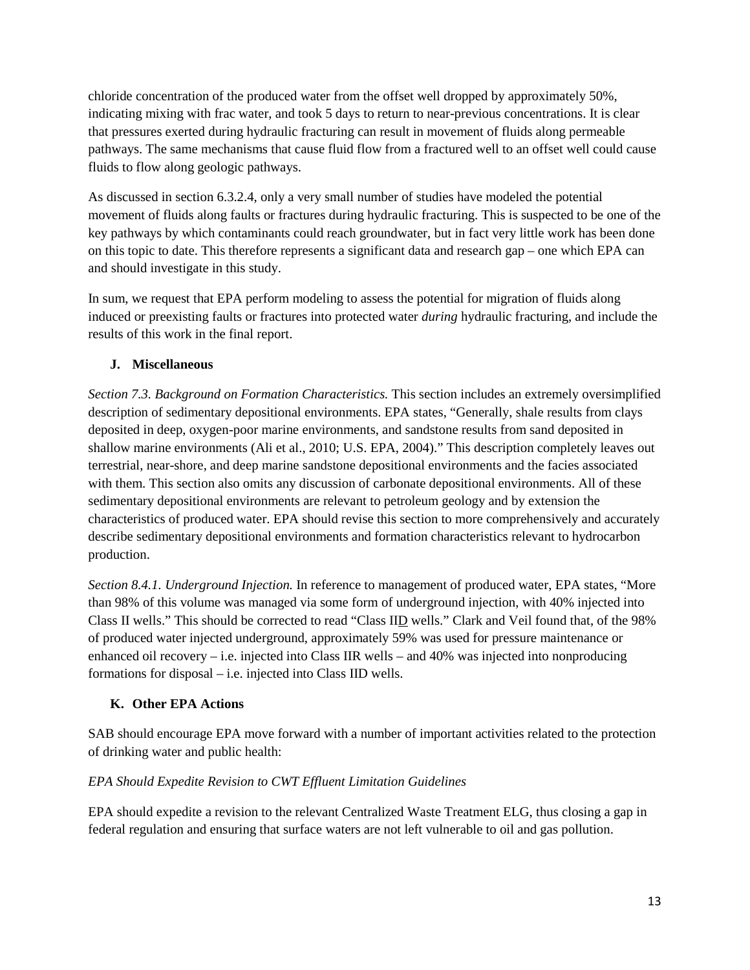chloride concentration of the produced water from the offset well dropped by approximately 50%, indicating mixing with frac water, and took 5 days to return to near-previous concentrations. It is clear that pressures exerted during hydraulic fracturing can result in movement of fluids along permeable pathways. The same mechanisms that cause fluid flow from a fractured well to an offset well could cause fluids to flow along geologic pathways.

As discussed in section 6.3.2.4, only a very small number of studies have modeled the potential movement of fluids along faults or fractures during hydraulic fracturing. This is suspected to be one of the key pathways by which contaminants could reach groundwater, but in fact very little work has been done on this topic to date. This therefore represents a significant data and research gap – one which EPA can and should investigate in this study.

In sum, we request that EPA perform modeling to assess the potential for migration of fluids along induced or preexisting faults or fractures into protected water *during* hydraulic fracturing, and include the results of this work in the final report.

# **J. Miscellaneous**

*Section 7.3. Background on Formation Characteristics.* This section includes an extremely oversimplified description of sedimentary depositional environments. EPA states, "Generally, shale results from clays deposited in deep, oxygen-poor marine environments, and sandstone results from sand deposited in shallow marine environments (Ali et al., 2010; U.S. EPA, 2004)." This description completely leaves out terrestrial, near-shore, and deep marine sandstone depositional environments and the facies associated with them. This section also omits any discussion of carbonate depositional environments. All of these sedimentary depositional environments are relevant to petroleum geology and by extension the characteristics of produced water. EPA should revise this section to more comprehensively and accurately describe sedimentary depositional environments and formation characteristics relevant to hydrocarbon production.

*Section 8.4.1. Underground Injection.* In reference to management of produced water, EPA states, "More than 98% of this volume was managed via some form of underground injection, with 40% injected into Class II wells." This should be corrected to read "Class IID wells." Clark and Veil found that, of the 98% of produced water injected underground, approximately 59% was used for pressure maintenance or enhanced oil recovery – i.e. injected into Class IIR wells – and  $40\%$  was injected into nonproducing formations for disposal – i.e. injected into Class IID wells.

# **K. Other EPA Actions**

SAB should encourage EPA move forward with a number of important activities related to the protection of drinking water and public health:

# *EPA Should Expedite Revision to CWT Effluent Limitation Guidelines*

EPA should expedite a revision to the relevant Centralized Waste Treatment ELG, thus closing a gap in federal regulation and ensuring that surface waters are not left vulnerable to oil and gas pollution.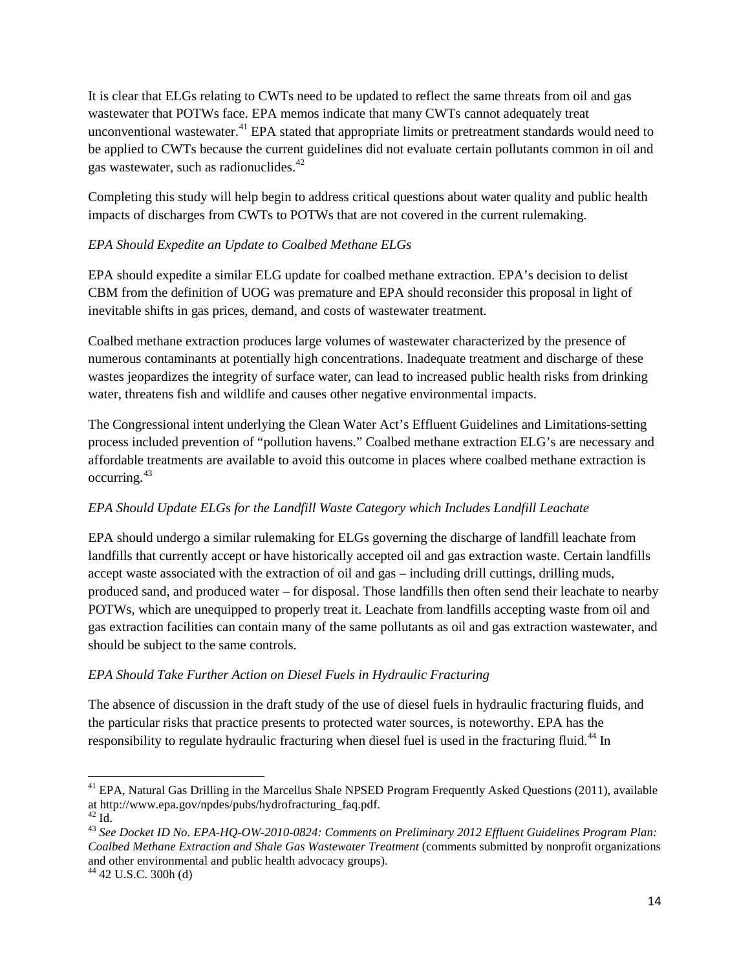It is clear that ELGs relating to CWTs need to be updated to reflect the same threats from oil and gas wastewater that POTWs face. EPA memos indicate that many CWTs cannot adequately treat unconventional wastewater.<sup>[41](#page-13-0)</sup> EPA stated that appropriate limits or pretreatment standards would need to be applied to CWTs because the current guidelines did not evaluate certain pollutants common in oil and gas wastewater, such as radionuclides.<sup>[42](#page-13-1)</sup>

Completing this study will help begin to address critical questions about water quality and public health impacts of discharges from CWTs to POTWs that are not covered in the current rulemaking.

## *EPA Should Expedite an Update to Coalbed Methane ELGs*

EPA should expedite a similar ELG update for coalbed methane extraction. EPA's decision to delist CBM from the definition of UOG was premature and EPA should reconsider this proposal in light of inevitable shifts in gas prices, demand, and costs of wastewater treatment.

Coalbed methane extraction produces large volumes of wastewater characterized by the presence of numerous contaminants at potentially high concentrations. Inadequate treatment and discharge of these wastes jeopardizes the integrity of surface water, can lead to increased public health risks from drinking water, threatens fish and wildlife and causes other negative environmental impacts.

The Congressional intent underlying the Clean Water Act's Effluent Guidelines and Limitations-setting process included prevention of "pollution havens." Coalbed methane extraction ELG's are necessary and affordable treatments are available to avoid this outcome in places where coalbed methane extraction is occurring.[43](#page-13-2)

# *EPA Should Update ELGs for the Landfill Waste Category which Includes Landfill Leachate*

EPA should undergo a similar rulemaking for ELGs governing the discharge of landfill leachate from landfills that currently accept or have historically accepted oil and gas extraction waste. Certain landfills accept waste associated with the extraction of oil and gas – including drill cuttings, drilling muds, produced sand, and produced water – for disposal. Those landfills then often send their leachate to nearby POTWs, which are unequipped to properly treat it. Leachate from landfills accepting waste from oil and gas extraction facilities can contain many of the same pollutants as oil and gas extraction wastewater, and should be subject to the same controls.

#### *EPA Should Take Further Action on Diesel Fuels in Hydraulic Fracturing*

The absence of discussion in the draft study of the use of diesel fuels in hydraulic fracturing fluids, and the particular risks that practice presents to protected water sources, is noteworthy. EPA has the responsibility to regulate hydraulic fracturing when diesel fuel is used in the fracturing fluid.<sup>[44](#page-13-3)</sup> In

<span id="page-13-0"></span><sup>&</sup>lt;sup>41</sup> EPA, Natural Gas Drilling in the Marcellus Shale NPSED Program Frequently Asked Questions (2011), available at http://www.epa.gov/npdes/pubs/hydrofracturing\_faq.pdf. $^{\rm 42}$  Id

<span id="page-13-1"></span>

<span id="page-13-2"></span><sup>&</sup>lt;sup>43</sup> See Docket ID No. EPA-HQ-OW-2010-0824: Comments on Preliminary 2012 Effluent Guidelines Program Plan: *Coalbed Methane Extraction and Shale Gas Wastewater Treatment* (comments submitted by nonprofit organizations and other environmental and public health advocacy groups).

<span id="page-13-3"></span> $44$  42 U.S.C. 300h (d)